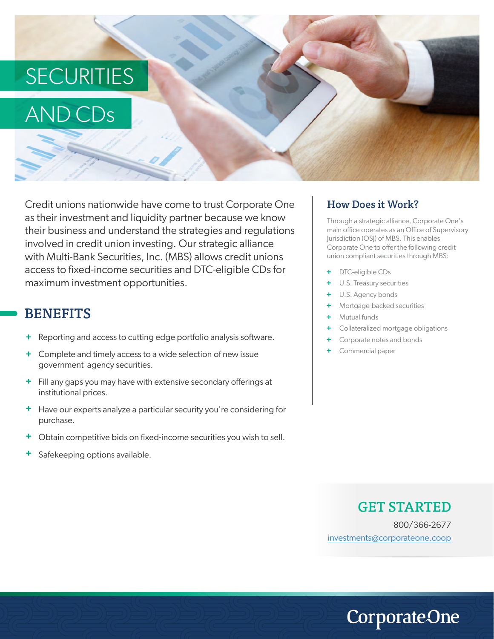# **SECURITIES**

## AND CDs

Credit unions nationwide have come to trust Corporate One as their investment and liquidity partner because we know their business and understand the strategies and regulations involved in credit union investing. Our strategic alliance with Multi-Bank Securities, Inc. (MBS) allows credit unions access to fixed-income securities and DTC-eligible CDs for maximum investment opportunities.

#### **BENEFITS**

- + Reporting and access to cutting edge portfolio analysis software.
- **+** Complete and timely access to a wide selection of new issue government agency securities.
- **+** Fill any gaps you may have with extensive secondary offerings at institutional prices.
- **+** Have our experts analyze a particular security you're considering for purchase.
- **+** Obtain competitive bids on fixed-income securities you wish to sell.
- **+** Safekeeping options available.

#### How Does it Work?

Through a strategic alliance, Corporate One's main office operates as an Office of Supervisory Jurisdiction (OSJ) of MBS. This enables Corporate One to offer the following credit union compliant securities through MBS:

- DTC-eligible CDs **+**
- U.S. Treasury securities **+**
- U.S. Agency bonds **+**
- Mortgage-backed securities **+**
- Mutual funds **+**
- Collateralized mortgage obligations **+**
- Corporate notes and bonds **+**
- Commercial paper **+**

#### GET STARTED

**CorporateOne** 

800/366-2677 investments@corporateone.coop